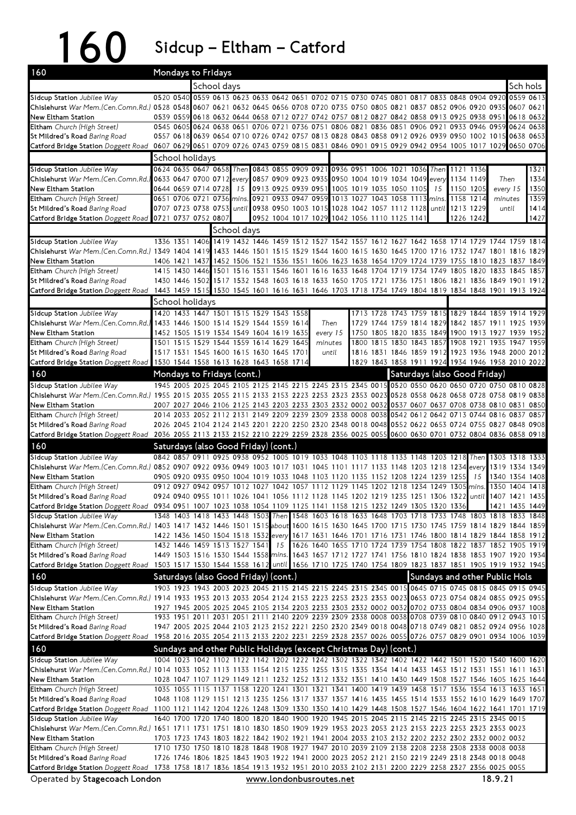160 Sidcup – Eltham – Catford

| 160                                                                                                                                                                   |                                                                                           |  | Mondays to Fridays  |  |             |                                         |    |  |         |                                                                                 |  |  |  |  |  |                                                                                                     |    |                                                                                                                                                                                                            |            |                                  |
|-----------------------------------------------------------------------------------------------------------------------------------------------------------------------|-------------------------------------------------------------------------------------------|--|---------------------|--|-------------|-----------------------------------------|----|--|---------|---------------------------------------------------------------------------------|--|--|--|--|--|-----------------------------------------------------------------------------------------------------|----|------------------------------------------------------------------------------------------------------------------------------------------------------------------------------------------------------------|------------|----------------------------------|
|                                                                                                                                                                       |                                                                                           |  |                     |  | School days |                                         |    |  |         |                                                                                 |  |  |  |  |  |                                                                                                     |    |                                                                                                                                                                                                            | Sch hols I |                                  |
| Sidcup Station Jubilee Way                                                                                                                                            |                                                                                           |  |                     |  |             |                                         |    |  |         |                                                                                 |  |  |  |  |  | 0520 0540 0559 0613 0623 0633 0642 0651 0702 0715 0730 0745 0801 0817 0833 0848 0904 0920           |    |                                                                                                                                                                                                            |            | 0559 0613                        |
| Chislehurst War Mem.(Cen.Comn.Rd.) 0528 0548 0607 0621 0632 0645 0656 0708 0720 0735 0750 0805 0821 0837 0852 0906 0920 0935 0607 0621                                |                                                                                           |  |                     |  |             |                                         |    |  |         |                                                                                 |  |  |  |  |  |                                                                                                     |    |                                                                                                                                                                                                            |            |                                  |
| New Eltham Station<br>Eltham Church (High Street)                                                                                                                     |                                                                                           |  |                     |  |             |                                         |    |  |         |                                                                                 |  |  |  |  |  |                                                                                                     |    | 0539 0559 0618 0632 0644 0658 0712 0727 0742 0757 0812 0827 0842 0858 0913 0925 0938 0951 0618 0632                                                                                                        |            |                                  |
| St Mildred's Road Baring Road                                                                                                                                         |                                                                                           |  |                     |  |             |                                         |    |  |         |                                                                                 |  |  |  |  |  |                                                                                                     |    | 0545 0605 0624 0638 0651 0706 0721 0736 0751 0806 0821 0836 0851 0906 0921 0933 0946 0959 0624 0638<br>0557 0618 0639 0654 0710 0726 0742 0757 0813 0828 0843 0858 0912 0926 0939 0950 1002 1015 0638 0653 |            |                                  |
| Catford Bridge Station Doggett Road                                                                                                                                   | 0607 0629 0651 0709 0726 0743 0759 0815 0831 0846 0901 0915 0929 0942 0954 1005 1017 1029 |  |                     |  |             |                                         |    |  |         |                                                                                 |  |  |  |  |  |                                                                                                     |    |                                                                                                                                                                                                            |            | 0650 0706                        |
|                                                                                                                                                                       |                                                                                           |  | School holidays     |  |             |                                         |    |  |         |                                                                                 |  |  |  |  |  |                                                                                                     |    |                                                                                                                                                                                                            |            |                                  |
| Sidcup Station Jubilee Way                                                                                                                                            |                                                                                           |  |                     |  |             |                                         |    |  |         | 0624 0635 0647 0658 Then 0843 0855 0909 0921 0936 0951 1006 1021 1036 Then      |  |  |  |  |  | 1121 1136                                                                                           |    |                                                                                                                                                                                                            |            | 1321                             |
| Chislehurst War Mem.(Cen.Comn.Rd.) 0633 0647 0700 0712 every 0857 0909 0923 0935 0950 1004 1019 1034 1049 every 1134 1149                                             |                                                                                           |  |                     |  |             |                                         |    |  |         |                                                                                 |  |  |  |  |  |                                                                                                     |    | Then                                                                                                                                                                                                       |            | 1334                             |
| New Eltham Station                                                                                                                                                    |                                                                                           |  | 0644 0659 0714 0728 |  | 15          |                                         |    |  |         | 0913 0925 0939 0951 1005 1019 1035 1050 1105 15                                 |  |  |  |  |  | 1150 1205                                                                                           |    | every 15                                                                                                                                                                                                   |            | 1350                             |
| Eltham Church (High Street)                                                                                                                                           |                                                                                           |  |                     |  |             |                                         |    |  |         |                                                                                 |  |  |  |  |  | 0651 0706 0721 0736 mins. 0921 0933 0947 0959 1013 1027 1043 1058 1113 mins. 1158 1214              |    | minutes                                                                                                                                                                                                    |            | 1359                             |
| St Mildred's Road Baring Road<br>Catford Bridge Station Doggett Road                                                                                                  | 0721 0737 0752 0807                                                                       |  |                     |  |             |                                         |    |  |         | 0952 1004 1017 1029 1042 1056 1110 1125 1141                                    |  |  |  |  |  | 0707 0723 0738 0753 until 0938 0950 1003 1015 1028 1042 1057 1112 1128 until 1213 1229<br>1226 1242 |    | until                                                                                                                                                                                                      |            | 1414<br>1427                     |
|                                                                                                                                                                       |                                                                                           |  |                     |  | School days |                                         |    |  |         |                                                                                 |  |  |  |  |  |                                                                                                     |    |                                                                                                                                                                                                            |            |                                  |
| Sidcup Station Jubilee Way                                                                                                                                            |                                                                                           |  |                     |  |             |                                         |    |  |         |                                                                                 |  |  |  |  |  |                                                                                                     |    | 1336 1351 1406 1419 1432 1446 1459 1512 1527 1542 1557 1612 1627 1642 1658 1714 1729 1744 1759 1814                                                                                                        |            |                                  |
| Chislehurst War Mem.(Cen.Comn.Rd.) 1349 1404 1419 1433 1446 1501 1515 1529 1544 1600 1615 1630 1645 1700 1716 1732 1747 1801 1816 1829                                |                                                                                           |  |                     |  |             |                                         |    |  |         |                                                                                 |  |  |  |  |  |                                                                                                     |    |                                                                                                                                                                                                            |            |                                  |
| New Eltham Station                                                                                                                                                    |                                                                                           |  |                     |  |             |                                         |    |  |         |                                                                                 |  |  |  |  |  |                                                                                                     |    | 1406 1421 1437 1452 1506 1521 1536 1551 1606 1623 1638 1654 1709 1724 1739 1755 1810 1823 1837 1849                                                                                                        |            |                                  |
| Eltham Church (High Street)                                                                                                                                           |                                                                                           |  |                     |  |             |                                         |    |  |         |                                                                                 |  |  |  |  |  |                                                                                                     |    | 1415 1430 1446 1501 1516 1531 1546 1601 1616 1633 1648 1704 1719 1734 1749 1805 1820 1833 1845 1857                                                                                                        |            |                                  |
| St Mildred's Road Baring Road                                                                                                                                         |                                                                                           |  |                     |  |             |                                         |    |  |         |                                                                                 |  |  |  |  |  |                                                                                                     |    | 1430 1446 1502 1517 1532 1548 1603 1618 1633 1650 1705 1721 1736 1751 1806 1821 1836 1849 1901 1912                                                                                                        |            |                                  |
| Catford Bridge Station Doggett Road                                                                                                                                   |                                                                                           |  |                     |  |             |                                         |    |  |         |                                                                                 |  |  |  |  |  |                                                                                                     |    | 1443 1459 1515 1530 1545 1601 1616 1631 1646 1703 1718 1734 1749 1804 1819 1834 1848 1901 1913 1924                                                                                                        |            |                                  |
| Sidcup Station Jubilee Way                                                                                                                                            |                                                                                           |  | School holidays     |  |             | 1420 1433 1447 1501 1515 1529 1543 1558 |    |  |         |                                                                                 |  |  |  |  |  |                                                                                                     |    | 1713 1728 1743 1759 1815 1829 1844 1859 1914 1929                                                                                                                                                          |            |                                  |
| Chislehurst War Mem.(Cen.Comn.Rd.)                                                                                                                                    |                                                                                           |  |                     |  |             | 1433 1446 1500 1514 1529 1544 1559 1614 |    |  |         | Then                                                                            |  |  |  |  |  |                                                                                                     |    | 1729 1744 1759 1814 1829 1842 1857 1911 1925 1939                                                                                                                                                          |            |                                  |
| New Eltham Station                                                                                                                                                    |                                                                                           |  |                     |  |             | 1452 1505 1519 1534 1549 1604 1619 1635 |    |  |         | every 15                                                                        |  |  |  |  |  |                                                                                                     |    | 1750 1805 1820 1835 1849 1900 1913 1927 1939 1952                                                                                                                                                          |            |                                  |
| Eltham Church (High Street)                                                                                                                                           |                                                                                           |  |                     |  |             | 1501 1515 1529 1544 1559 1614 1629 1645 |    |  | minutes |                                                                                 |  |  |  |  |  |                                                                                                     |    | 1800 1815 1830 1843 1857 1908 1921 1935 1947 1959                                                                                                                                                          |            |                                  |
| St Mildred's Road Baring Road                                                                                                                                         |                                                                                           |  |                     |  |             | 1517 1531 1545 1600 1615 1630 1645 1701 |    |  |         | until                                                                           |  |  |  |  |  |                                                                                                     |    | 1816 1831 1846 1859 1912 1923 1936 1948 2000 2012                                                                                                                                                          |            |                                  |
| Catford Bridge Station Doggett Road 1530 1544 1558 1613 1628 1643 1658 1714                                                                                           |                                                                                           |  |                     |  |             |                                         |    |  |         |                                                                                 |  |  |  |  |  |                                                                                                     |    | 1829 1843 1858 1911 1924 1934 1946 1958 2010 2022                                                                                                                                                          |            |                                  |
| 160                                                                                                                                                                   | Mondays to Fridays (cont.)                                                                |  |                     |  |             |                                         |    |  |         |                                                                                 |  |  |  |  |  | Saturdays (also Good Friday)                                                                        |    |                                                                                                                                                                                                            |            |                                  |
| Sidcup Station Jubilee Way                                                                                                                                            |                                                                                           |  |                     |  |             |                                         |    |  |         |                                                                                 |  |  |  |  |  |                                                                                                     |    | 1945 2005 2025 2045 2105 2125 2145 2215 2245 2315 2345 0015 0520 0550 0620 0650 0720 0750 0810 0828                                                                                                        |            |                                  |
| Chislehurst War Mem.(Cen.Comn.Rd.) 1955 2015 2035 2055 2115 2133 2153 2223 2253 2323 2353 0023 0528 0558 0628 0658 0728 0758 0819 0838<br>New Eltham Station          |                                                                                           |  |                     |  |             |                                         |    |  |         |                                                                                 |  |  |  |  |  |                                                                                                     |    | 2007 2027 2046 2106 2125 2143 2203 2233 2303 2332 0002 0032 0537 0607 0637 0708 0738 0810 0831 0850                                                                                                        |            |                                  |
| Eltham Church (High Street)                                                                                                                                           |                                                                                           |  |                     |  |             |                                         |    |  |         |                                                                                 |  |  |  |  |  |                                                                                                     |    | 2014 2033 2052 2112 2131 2149 2209 2239 2309 2338 0008 0038 0542 0612 0642 0713 0744 0816 0837 0857                                                                                                        |            |                                  |
| St Mildred's Road Baring Road                                                                                                                                         |                                                                                           |  |                     |  |             |                                         |    |  |         |                                                                                 |  |  |  |  |  |                                                                                                     |    | 2026 2045 2104 2124 2143 2201 2220 2250 2320 2348 0018 0048 0552 0622 0653 0724 0755 0827 0848 0908                                                                                                        |            |                                  |
| Catford Bridge Station Doggett Road                                                                                                                                   |                                                                                           |  |                     |  |             |                                         |    |  |         |                                                                                 |  |  |  |  |  |                                                                                                     |    | 2036 2055 2113 2133 2152 2210 2229 2259 2328 2356 0025 0055 0600 0630 0701 0732 0804 0836 0858 0918                                                                                                        |            |                                  |
| 160                                                                                                                                                                   |                                                                                           |  |                     |  |             | Saturdays (also Good Friday) (cont.)    |    |  |         |                                                                                 |  |  |  |  |  |                                                                                                     |    |                                                                                                                                                                                                            |            |                                  |
| Sidcup Station Jubilee Way                                                                                                                                            |                                                                                           |  |                     |  |             |                                         |    |  |         |                                                                                 |  |  |  |  |  |                                                                                                     |    | 0842 0857 0911 0925 0938 0952 1005 1019 1033 1048 1103 1118 1133 1148 1203 1218 Then 1303 1318 1333                                                                                                        |            |                                  |
| Chislehurst War Mem.(Cen.Comn.Rd.) 0852 0907 0922 0936 0949 1003 1017 1031 1045 1101 1117 1133 1148 1203 1218 1234 every 1319 1334 1349                               |                                                                                           |  |                     |  |             |                                         |    |  |         |                                                                                 |  |  |  |  |  |                                                                                                     |    |                                                                                                                                                                                                            |            |                                  |
| New Eltham Station<br>Eltham Church (High Street)                                                                                                                     |                                                                                           |  |                     |  |             |                                         |    |  |         | 0905 0920 0935 0950 1004 1019 1033 1048 1103 1120 1135 1152 1208 1224 1239 1255 |  |  |  |  |  | 0912 0927 0942 0957 1012 1027 1042 1057 1112 1129 1145 1202 1218 1234 1249 1305 mins.               | 15 |                                                                                                                                                                                                            |            | 1340 1354 1408<br>1350 1404 1418 |
| St Mildred's Road Baring Road                                                                                                                                         |                                                                                           |  |                     |  |             |                                         |    |  |         |                                                                                 |  |  |  |  |  |                                                                                                     |    | 0924 0940 0955 1011 1026 1041 1056 1112 1128 1145 1202 1219 1235 1251 1306 1322 until 1407 1421 1435                                                                                                       |            |                                  |
| Catford Bridge Station Doggett Road 0934 0951 1007 1023 1038 1054 1109 1125 1141 1158 1215 1232 1249 1305 1320 1336                                                   |                                                                                           |  |                     |  |             |                                         |    |  |         |                                                                                 |  |  |  |  |  |                                                                                                     |    | 1421 1435 1449                                                                                                                                                                                             |            |                                  |
| Sidcup Station Jubilee Way                                                                                                                                            |                                                                                           |  |                     |  |             |                                         |    |  |         |                                                                                 |  |  |  |  |  |                                                                                                     |    | 1348 1403 1418 1433 1448 1503 Then 1548 1603 1618 1633 1648 1703 1718 1733 1748 1803 1818 1833 1848                                                                                                        |            |                                  |
| Chislehurst War Mem. (Cen. Comn. Rd.) 1403 1417 1432 1446 1501 1515 about 1600 1615 1630 1645 1700 1715 1730 1745 1759 1814 1829 1844 1859                            |                                                                                           |  |                     |  |             |                                         |    |  |         |                                                                                 |  |  |  |  |  |                                                                                                     |    |                                                                                                                                                                                                            |            |                                  |
| New Eltham Station<br>Eltham Church (High Street)                                                                                                                     |                                                                                           |  |                     |  |             | 1432 1446 1459 1513 1527 1541           | 15 |  |         |                                                                                 |  |  |  |  |  |                                                                                                     |    | 1422 1436 1450 1504 1518 1532 every 1617 1631 1646 1701 1716 1731 1746 1800 1814 1829 1844 1858 1912<br>1626 1640 1655 1710 1724 1739 1754 1808 1822 1837 1852 1905 1919                                   |            |                                  |
| St Mildred's Road Baring Road                                                                                                                                         |                                                                                           |  |                     |  |             |                                         |    |  |         |                                                                                 |  |  |  |  |  |                                                                                                     |    | 1449 1503 1516 1530 1544 1558 mins. 1643 1657 1712 1727 1741 1756 1810 1824 1838 1853 1907 1920 1934                                                                                                       |            |                                  |
| Catford Bridge Station Doggett Road 1503 1517 1530 1544 1558 1612 until 1656 1710 1725 1740 1754 1809 1823 1837 1851 1905 1919 1932 1945                              |                                                                                           |  |                     |  |             |                                         |    |  |         |                                                                                 |  |  |  |  |  |                                                                                                     |    |                                                                                                                                                                                                            |            |                                  |
| 160                                                                                                                                                                   |                                                                                           |  |                     |  |             | Saturdays (also Good Friday) (cont.)    |    |  |         |                                                                                 |  |  |  |  |  |                                                                                                     |    | Sundays and other Public Hols                                                                                                                                                                              |            |                                  |
| Sidcup Station Jubilee Way                                                                                                                                            |                                                                                           |  |                     |  |             |                                         |    |  |         |                                                                                 |  |  |  |  |  |                                                                                                     |    | 1903 1923 1943 2003 2023 2045 2115 2145 2215 2245 2315 2345 0015 0645 0715 0745 0815 0845 0915 0945                                                                                                        |            |                                  |
| Chislehurst War Mem.(Cen.Comn.Rd.) 1914 1933 1953 2013 2033 2054 2124 2153 2223 2253 2323 2353 0023 0653 0723 0754 0824 0855 0925 0955                                |                                                                                           |  |                     |  |             |                                         |    |  |         |                                                                                 |  |  |  |  |  |                                                                                                     |    |                                                                                                                                                                                                            |            |                                  |
| New Eltham Station                                                                                                                                                    |                                                                                           |  |                     |  |             |                                         |    |  |         |                                                                                 |  |  |  |  |  |                                                                                                     |    | 1927 1945 2005 2025 2045 2105 2134 2203 2233 2303 2332 0002 0032 0702 0733 0804 0834 0906 0937 1008                                                                                                        |            |                                  |
| Eltham Church (High Street)                                                                                                                                           |                                                                                           |  |                     |  |             |                                         |    |  |         |                                                                                 |  |  |  |  |  |                                                                                                     |    | 1933 1951 2011 2031 2051 2111 2140 2209 2239 2309 2338 0008 0038 0708 0739 0810 0840 0912 0943 1015<br>1947 2005 2025 2044 2103 2123 2152 2221 2250 2320 2349 0018 0048 0718 0749 0821 0852 0924 0956 1028 |            |                                  |
| St Mildred's Road <i>Baring Road</i><br>Catford Bridge Station Doggett Road                                                                                           |                                                                                           |  |                     |  |             |                                         |    |  |         |                                                                                 |  |  |  |  |  |                                                                                                     |    | 1958 2016 2035 2054 2113 2133 2202 2231 2259 2328 2357 0026 0055 0726 0757 0829 0901 0934 1006 1039                                                                                                        |            |                                  |
| 160                                                                                                                                                                   |                                                                                           |  |                     |  |             |                                         |    |  |         | Sundays and other Public Holidays (except Christmas Day) (cont.)                |  |  |  |  |  |                                                                                                     |    |                                                                                                                                                                                                            |            |                                  |
| Sidcup Station Jubilee Way                                                                                                                                            |                                                                                           |  |                     |  |             |                                         |    |  |         |                                                                                 |  |  |  |  |  |                                                                                                     |    | 1004 1023 1042 1102 1122 1142 1202 1222 1242 1302 1322 1342 1402 1422 1442 1501 1520 1540 1600 1620                                                                                                        |            |                                  |
| Chislehurst War Mem.(Cen.Comn.Rd.) 1014 1033 1052 1113 1133 1154 1215 1235 1255 1315 1335 1354 1414 1433 1453 1512 1531 1551 1611 1631                                |                                                                                           |  |                     |  |             |                                         |    |  |         |                                                                                 |  |  |  |  |  |                                                                                                     |    |                                                                                                                                                                                                            |            |                                  |
| New Eltham Station                                                                                                                                                    |                                                                                           |  |                     |  |             |                                         |    |  |         |                                                                                 |  |  |  |  |  |                                                                                                     |    | 1028 1047 1107 1129 1149 1211 1232 1252 1312 1332 1351 1410 1430 1449 1508 1527 1546 1605 1625 1644                                                                                                        |            |                                  |
| Eltham Church (High Street)                                                                                                                                           |                                                                                           |  |                     |  |             |                                         |    |  |         |                                                                                 |  |  |  |  |  |                                                                                                     |    | 1035 1055 1115 1137 1158 1220 1241 1301 1321 1341 1400 1419 1439 1458 1517 1536 1554 1613 1633 1651                                                                                                        |            |                                  |
| St Mildred's Road <i>Baring Road</i>                                                                                                                                  |                                                                                           |  |                     |  |             |                                         |    |  |         |                                                                                 |  |  |  |  |  |                                                                                                     |    | 1048 1108 1129 1151 1213 1235 1256 1317 1337 1357 1416 1435 1455 1514 1533 1552 1610 1629 1649 1707                                                                                                        |            |                                  |
| Catford Bridge Station Doggett Road 1100 1121 1142 1204 1226 1248 1309 1330 1350 1410 1429 1448 1508 1527 1546 1604 1622 1641 1701 1719<br>Sidcup Station Jubilee Way |                                                                                           |  |                     |  |             |                                         |    |  |         |                                                                                 |  |  |  |  |  |                                                                                                     |    | 1640 1700 1720 1740 1800 1820 1840 1900 1920 1945 2015 2045 2115 2145 2215 2245 2315 2345 0015                                                                                                             |            |                                  |
| Chislehurst War Mem.(Cen.Comn.Rd.) 1651 1711 1731 1751 1810 1830 1850 1909 1929 1953 2023 2053 2123 2153 2223 2253 2323 2353 0023                                     |                                                                                           |  |                     |  |             |                                         |    |  |         |                                                                                 |  |  |  |  |  |                                                                                                     |    |                                                                                                                                                                                                            |            |                                  |
| New Eltham Station                                                                                                                                                    |                                                                                           |  |                     |  |             |                                         |    |  |         |                                                                                 |  |  |  |  |  |                                                                                                     |    | 1703 1723 1743 1803 1822 1842 1902 1921 1941 2004 2033 2103 2132 2202 2232 2302 2332 0002 0032                                                                                                             |            |                                  |
| Eltham Church (High Street)                                                                                                                                           |                                                                                           |  |                     |  |             |                                         |    |  |         |                                                                                 |  |  |  |  |  |                                                                                                     |    | 1710 1730 1750 1810 1828 1848 1908 1927 1947 2010 2039 2109 2138 2208 2238 2308 2338 0008 0038                                                                                                             |            |                                  |
| St Mildred's Road Baring Road                                                                                                                                         |                                                                                           |  |                     |  |             |                                         |    |  |         |                                                                                 |  |  |  |  |  |                                                                                                     |    | 1726 1746 1806 1825 1843 1903 1922 1941 2000 2023 2052 2121 2150 2219 2249 2318 2348 0018 0048                                                                                                             |            |                                  |
| Catford Bridge Station Doggett Road 1738 1758 1817 1836 1854 1913 1932 1951 2010 2033 2102 2131 2200 2229 2258 2327 2356 0025 0055                                    |                                                                                           |  |                     |  |             |                                         |    |  |         |                                                                                 |  |  |  |  |  |                                                                                                     |    |                                                                                                                                                                                                            |            |                                  |
| Operated by Stagecoach London<br>www.londonbusroutes.net                                                                                                              |                                                                                           |  |                     |  |             |                                         |    |  |         |                                                                                 |  |  |  |  |  | 18.9.21                                                                                             |    |                                                                                                                                                                                                            |            |                                  |